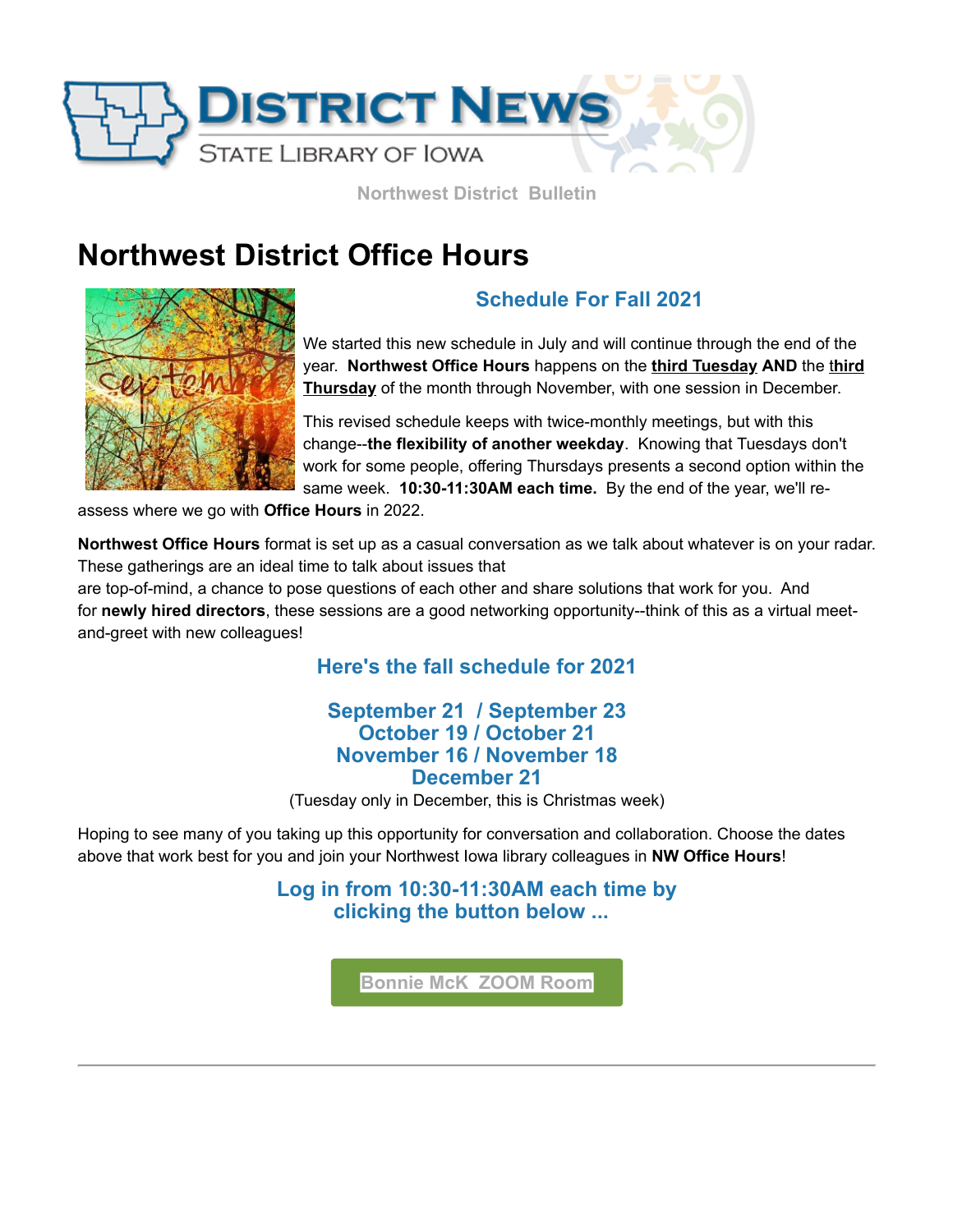

**Northwest District Bulletin**

# **Northwest District Office Hours**



# **Schedule For Fall 2021**

We started this new schedule in July and will continue through the end of the year. **Northwest Office Hours** happens on the **third Tuesday AND** the t**hird Thursday** of the month through November, with one session in December.

This revised schedule keeps with twice-monthly meetings, but with this change--**the flexibility of another weekday**. Knowing that Tuesdays don't work for some people, offering Thursdays presents a second option within the same week. **10:30-11:30AM each time.** By the end of the year, we'll re-

assess where we go with **Office Hours** in 2022.

**Northwest Office Hours** format is set up as a casual conversation as we talk about whatever is on your radar. These gatherings are an ideal time to talk about issues that

are top-of-mind, a chance to pose questions of each other and share solutions that work for you. And for **newly hired directors**, these sessions are a good networking opportunity--think of this as a virtual meetand-greet with new colleagues!

## **Here's the fall schedule for 2021**

### **September 21 / September 23 October 19 / October 21 November 16 / November 18 December 21**

(Tuesday only in December, this is Christmas week)

Hoping to see many of you taking up this opportunity for conversation and collaboration. Choose the dates above that work best for you and join your Northwest Iowa library colleagues in **NW Office Hours**!

> **Log in from 10:30-11:30AM each time by clicking the button below ...**

> > **[Bonnie McK ZOOM Room](https://zoom.us/j/7124443993?utm_medium=email&utm_source=govdelivery)**